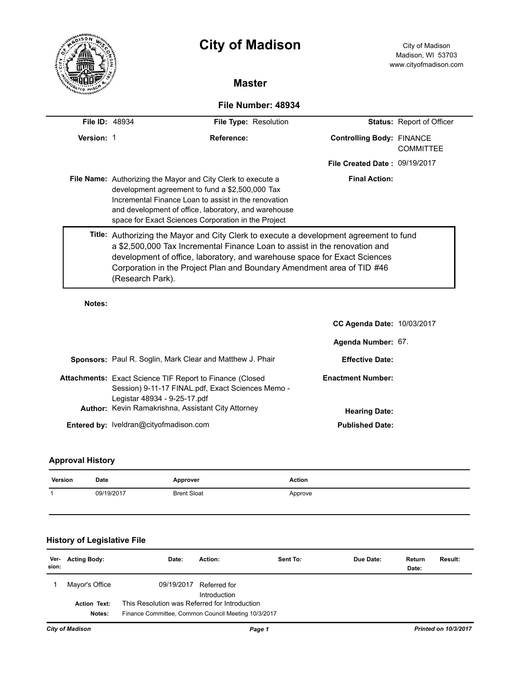|                       | <b>City of Madison</b>                                                                                                                                                                                                                                                                                                                          |                                  | City of Madison<br>Madison, WI 53703<br>www.cityofmadison.com |  |
|-----------------------|-------------------------------------------------------------------------------------------------------------------------------------------------------------------------------------------------------------------------------------------------------------------------------------------------------------------------------------------------|----------------------------------|---------------------------------------------------------------|--|
|                       | <b>Master</b>                                                                                                                                                                                                                                                                                                                                   |                                  |                                                               |  |
|                       | File Number: 48934                                                                                                                                                                                                                                                                                                                              |                                  |                                                               |  |
| <b>File ID: 48934</b> | File Type: Resolution                                                                                                                                                                                                                                                                                                                           |                                  | <b>Status: Report of Officer</b>                              |  |
| Version: 1            | Reference:                                                                                                                                                                                                                                                                                                                                      | <b>Controlling Body: FINANCE</b> | COMMITTEE                                                     |  |
|                       |                                                                                                                                                                                                                                                                                                                                                 | File Created Date: 09/19/2017    |                                                               |  |
|                       | <b>Final Action:</b><br><b>File Name:</b> Authorizing the Mayor and City Clerk to execute a<br>development agreement to fund a \$2,500,000 Tax<br>Incremental Finance I oan to assist in the renovation<br>and development of office, laboratory, and warehouse<br>space for Exact Sciences Corporation in the Project                          |                                  |                                                               |  |
|                       | Title: Authorizing the Mayor and City Clerk to execute a development agreement to fund<br>a \$2,500,000 Tax Incremental Finance Loan to assist in the renovation and<br>development of office, laboratory, and warehouse space for Exact Sciences<br>Corporation in the Project Plan and Boundary Amendment area of TID #46<br>(Research Park). |                                  |                                                               |  |

**Notes:** 

 $\overline{\phantom{0}}$ 

|                                                                                                                                                                                                                   | <b>CC Agenda Date: 10/03/2017</b>                |  |
|-------------------------------------------------------------------------------------------------------------------------------------------------------------------------------------------------------------------|--------------------------------------------------|--|
|                                                                                                                                                                                                                   | Agenda Number: 67.                               |  |
| <b>Sponsors:</b> Paul R. Soglin, Mark Clear and Matthew J. Phair                                                                                                                                                  | <b>Effective Date:</b>                           |  |
| <b>Attachments:</b> Exact Science TIF Report to Finance (Closed<br>Session) 9-11-17 FINAL.pdf, Exact Sciences Memo -<br>Legistar 48934 - 9-25-17.pdf<br><b>Author:</b> Kevin Ramakrishna, Assistant City Attorney | <b>Enactment Number:</b><br><b>Hearing Date:</b> |  |
| <b>Entered by: Iveldran@cityofmadison.com</b>                                                                                                                                                                     | <b>Published Date:</b>                           |  |

# **Approval History**

| Version | Date       | Approver           | <b>Action</b> |
|---------|------------|--------------------|---------------|
|         | 09/19/2017 | <b>Brent Sloat</b> | Approve       |
|         |            |                    |               |

# **History of Legislative File**

| Ver-<br>sion: | <b>Acting Body:</b>           | Date:                                                                                                | Action:                      | Sent To: | Due Date: | Return<br>Date: | Result: |
|---------------|-------------------------------|------------------------------------------------------------------------------------------------------|------------------------------|----------|-----------|-----------------|---------|
|               | Mayor's Office                | 09/19/2017                                                                                           | Referred for<br>Introduction |          |           |                 |         |
|               | <b>Action Text:</b><br>Notes: | This Resolution was Referred for Introduction<br>Finance Committee, Common Council Meeting 10/3/2017 |                              |          |           |                 |         |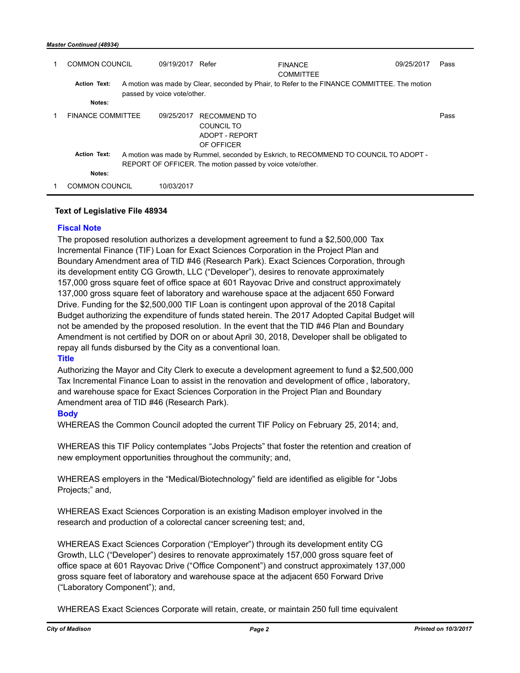#### *Master Continued (48934)*

| COMMON COUNCIL                | 09/19/2017 Refer            |                                                                   | <b>FINANCE</b><br><b>COMMITTEE</b>                                                           | 09/25/2017 | Pass |
|-------------------------------|-----------------------------|-------------------------------------------------------------------|----------------------------------------------------------------------------------------------|------------|------|
| <b>Action Text:</b><br>Notes: | passed by voice vote/other. |                                                                   | A motion was made by Clear, seconded by Phair, to Refer to the FINANCE COMMITTEE. The motion |            |      |
| <b>FINANCE COMMITTEE</b>      | 09/25/2017                  | <b>RECOMMEND TO</b><br>COUNCIL TO<br>ADOPT - REPORT<br>OF OFFICER |                                                                                              |            | Pass |
| <b>Action Text:</b>           |                             | REPORT OF OFFICER. The motion passed by voice vote/other.         | A motion was made by Rummel, seconded by Eskrich, to RECOMMEND TO COUNCIL TO ADOPT -         |            |      |
| Notes:                        |                             |                                                                   |                                                                                              |            |      |
| <b>COMMON COUNCIL</b>         | 10/03/2017                  |                                                                   |                                                                                              |            |      |

### **Text of Legislative File 48934**

# **Fiscal Note**

The proposed resolution authorizes a development agreement to fund a \$2,500,000 Tax Incremental Finance (TIF) Loan for Exact Sciences Corporation in the Project Plan and Boundary Amendment area of TID #46 (Research Park). Exact Sciences Corporation, through its development entity CG Growth, LLC ("Developer"), desires to renovate approximately 157,000 gross square feet of office space at 601 Rayovac Drive and construct approximately 137,000 gross square feet of laboratory and warehouse space at the adjacent 650 Forward Drive. Funding for the \$2,500,000 TIF Loan is contingent upon approval of the 2018 Capital Budget authorizing the expenditure of funds stated herein. The 2017 Adopted Capital Budget will not be amended by the proposed resolution. In the event that the TID #46 Plan and Boundary Amendment is not certified by DOR on or about April 30, 2018, Developer shall be obligated to repay all funds disbursed by the City as a conventional loan.

## **Title**

Authorizing the Mayor and City Clerk to execute a development agreement to fund a \$2,500,000 Tax Incremental Finance Loan to assist in the renovation and development of office , laboratory, and warehouse space for Exact Sciences Corporation in the Project Plan and Boundary Amendment area of TID #46 (Research Park).

## **Body**

WHEREAS the Common Council adopted the current TIF Policy on February 25, 2014; and,

WHEREAS this TIF Policy contemplates "Jobs Projects" that foster the retention and creation of new employment opportunities throughout the community; and,

WHEREAS employers in the "Medical/Biotechnology" field are identified as eligible for "Jobs Projects;" and,

WHEREAS Exact Sciences Corporation is an existing Madison employer involved in the research and production of a colorectal cancer screening test; and,

WHEREAS Exact Sciences Corporation ("Employer") through its development entity CG Growth, LLC ("Developer") desires to renovate approximately 157,000 gross square feet of office space at 601 Rayovac Drive ("Office Component") and construct approximately 137,000 gross square feet of laboratory and warehouse space at the adjacent 650 Forward Drive ("Laboratory Component"); and,

WHEREAS Exact Sciences Corporate will retain, create, or maintain 250 full time equivalent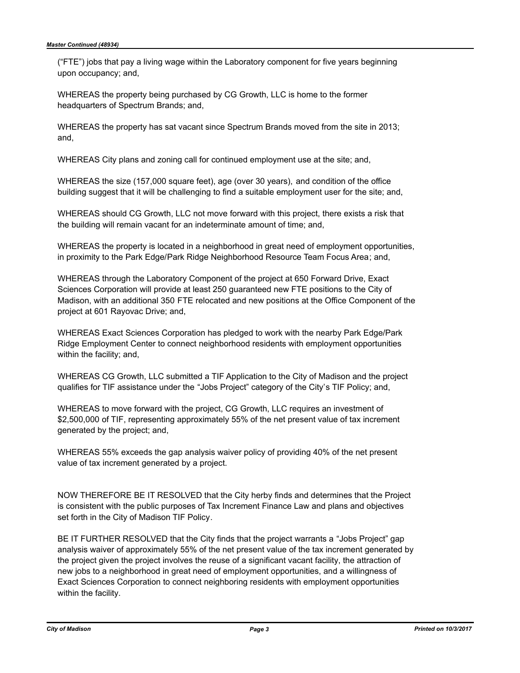("FTE") jobs that pay a living wage within the Laboratory component for five years beginning upon occupancy; and,

WHEREAS the property being purchased by CG Growth, LLC is home to the former headquarters of Spectrum Brands; and,

WHEREAS the property has sat vacant since Spectrum Brands moved from the site in 2013; and,

WHEREAS City plans and zoning call for continued employment use at the site; and,

WHEREAS the size (157,000 square feet), age (over 30 years), and condition of the office building suggest that it will be challenging to find a suitable employment user for the site; and,

WHEREAS should CG Growth, LLC not move forward with this project, there exists a risk that the building will remain vacant for an indeterminate amount of time; and,

WHEREAS the property is located in a neighborhood in great need of employment opportunities, in proximity to the Park Edge/Park Ridge Neighborhood Resource Team Focus Area; and,

WHEREAS through the Laboratory Component of the project at 650 Forward Drive, Exact Sciences Corporation will provide at least 250 guaranteed new FTE positions to the City of Madison, with an additional 350 FTE relocated and new positions at the Office Component of the project at 601 Rayovac Drive; and,

WHEREAS Exact Sciences Corporation has pledged to work with the nearby Park Edge/Park Ridge Employment Center to connect neighborhood residents with employment opportunities within the facility; and,

WHEREAS CG Growth, LLC submitted a TIF Application to the City of Madison and the project qualifies for TIF assistance under the "Jobs Project" category of the City's TIF Policy; and,

WHEREAS to move forward with the project, CG Growth, LLC requires an investment of \$2,500,000 of TIF, representing approximately 55% of the net present value of tax increment generated by the project; and,

WHEREAS 55% exceeds the gap analysis waiver policy of providing 40% of the net present value of tax increment generated by a project.

NOW THEREFORE BE IT RESOLVED that the City herby finds and determines that the Project is consistent with the public purposes of Tax Increment Finance Law and plans and objectives set forth in the City of Madison TIF Policy.

BE IT FURTHER RESOLVED that the City finds that the project warrants a "Jobs Project" gap analysis waiver of approximately 55% of the net present value of the tax increment generated by the project given the project involves the reuse of a significant vacant facility, the attraction of new jobs to a neighborhood in great need of employment opportunities, and a willingness of Exact Sciences Corporation to connect neighboring residents with employment opportunities within the facility.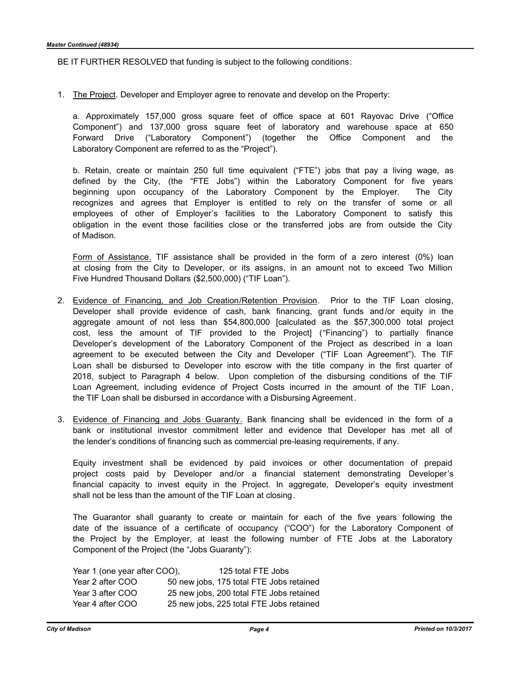BE IT FURTHER RESOLVED that funding is subject to the following conditions:

1. The Project. Developer and Employer agree to renovate and develop on the Property:

a. Approximately 157,000 gross square feet of office space at 601 Rayovac Drive ("Office Component") and 137,000 gross square feet of laboratory and warehouse space at 650 Forward Drive ("Laboratory Component") (together the Office Component and the Laboratory Component are referred to as the "Project").

b. Retain, create or maintain 250 full time equivalent ("FTE") jobs that pay a living wage, as defined by the City, (the "FTE Jobs") within the Laboratory Component for five years beginning upon occupancy of the Laboratory Component by the Employer. The City recognizes and agrees that Employer is entitled to rely on the transfer of some or all employees of other of Employer's facilities to the Laboratory Component to satisfy this obligation in the event those facilities close or the transferred jobs are from outside the City of Madison.

Form of Assistance. TIF assistance shall be provided in the form of a zero interest (0%) loan at closing from the City to Developer, or its assigns, in an amount not to exceed Two Million Five Hundred Thousand Dollars (\$2,500,000) ("TIF Loan").

- 2. Evidence of Financing, and Job Creation/Retention Provision. Prior to the TIF Loan closing, Developer shall provide evidence of cash, bank financing, grant funds and /or equity in the aggregate amount of not less than \$54,800,000 [calculated as the \$57,300,000 total project cost, less the amount of TIF provided to the Project] ("Financing") to partially finance Developer's development of the Laboratory Component of the Project as described in a loan agreement to be executed between the City and Developer ("TIF Loan Agreement"). The TIF Loan shall be disbursed to Developer into escrow with the title company in the first quarter of 2018, subject to Paragraph 4 below. Upon completion of the disbursing conditions of the TIF Loan Agreement, including evidence of Project Costs incurred in the amount of the TIF Loan, the TIF Loan shall be disbursed in accordance with a Disbursing Agreement.
- 3. Evidence of Financing and Jobs Guaranty. Bank financing shall be evidenced in the form of a bank or institutional investor commitment letter and evidence that Developer has met all of the lender's conditions of financing such as commercial pre-leasing requirements, if any.

Equity investment shall be evidenced by paid invoices or other documentation of prepaid project costs paid by Developer and/or a financial statement demonstrating Developer's financial capacity to invest equity in the Project. In aggregate, Developer's equity investment shall not be less than the amount of the TIF Loan at closing.

The Guarantor shall guaranty to create or maintain for each of the five years following the date of the issuance of a certificate of occupancy ("COO") for the Laboratory Component of the Project by the Employer, at least the following number of FTE Jobs at the Laboratory Component of the Project (the "Jobs Guaranty"):

| Year 1 (one year after COO), | 125 total FTE Jobs                       |
|------------------------------|------------------------------------------|
| Year 2 after COO             | 50 new jobs, 175 total FTE Jobs retained |
| Year 3 after COO             | 25 new jobs, 200 total FTE Jobs retained |
| Year 4 after COO             | 25 new jobs, 225 total FTE Jobs retained |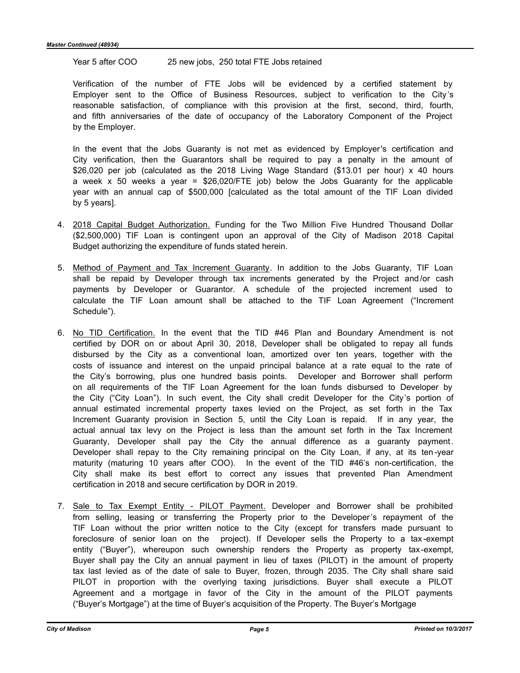Year 5 after COO 25 new jobs, 250 total FTE Jobs retained

Verification of the number of FTE Jobs will be evidenced by a certified statement by Employer sent to the Office of Business Resources, subject to verification to the City 's reasonable satisfaction, of compliance with this provision at the first, second, third, fourth, and fifth anniversaries of the date of occupancy of the Laboratory Component of the Project by the Employer.

In the event that the Jobs Guaranty is not met as evidenced by Employer's certification and City verification, then the Guarantors shall be required to pay a penalty in the amount of \$26,020 per job (calculated as the 2018 Living Wage Standard (\$13.01 per hour) x 40 hours a week x 50 weeks a year = \$26,020/FTE job) below the Jobs Guaranty for the applicable year with an annual cap of \$500,000 [calculated as the total amount of the TIF Loan divided by 5 years].

- 4. 2018 Capital Budget Authorization. Funding for the Two Million Five Hundred Thousand Dollar (\$2,500,000) TIF Loan is contingent upon an approval of the City of Madison 2018 Capital Budget authorizing the expenditure of funds stated herein.
- 5. Method of Payment and Tax Increment Guaranty. In addition to the Jobs Guaranty, TIF Loan shall be repaid by Developer through tax increments generated by the Project and /or cash payments by Developer or Guarantor. A schedule of the projected increment used to calculate the TIF Loan amount shall be attached to the TIF Loan Agreement ("Increment Schedule").
- 6. No TID Certification. In the event that the TID #46 Plan and Boundary Amendment is not certified by DOR on or about April 30, 2018, Developer shall be obligated to repay all funds disbursed by the City as a conventional loan, amortized over ten years, together with the costs of issuance and interest on the unpaid principal balance at a rate equal to the rate of the City's borrowing, plus one hundred basis points. Developer and Borrower shall perform on all requirements of the TIF Loan Agreement for the loan funds disbursed to Developer by the City ("City Loan"). In such event, the City shall credit Developer for the City's portion of annual estimated incremental property taxes levied on the Project, as set forth in the Tax Increment Guaranty provision in Section 5, until the City Loan is repaid. If in any year, the actual annual tax levy on the Project is less than the amount set forth in the Tax Increment Guaranty, Developer shall pay the City the annual difference as a guaranty payment. Developer shall repay to the City remaining principal on the City Loan, if any, at its ten -year maturity (maturing 10 years after COO). In the event of the TID #46's non-certification, the City shall make its best effort to correct any issues that prevented Plan Amendment certification in 2018 and secure certification by DOR in 2019.
- 7. Sale to Tax Exempt Entity PILOT Payment. Developer and Borrower shall be prohibited from selling, leasing or transferring the Property prior to the Developer's repayment of the TIF Loan without the prior written notice to the City (except for transfers made pursuant to foreclosure of senior loan on the project). If Developer sells the Property to a tax -exempt entity ("Buyer"), whereupon such ownership renders the Property as property tax-exempt, Buyer shall pay the City an annual payment in lieu of taxes (PILOT) in the amount of property tax last levied as of the date of sale to Buyer, frozen, through 2035. The City shall share said PILOT in proportion with the overlying taxing jurisdictions. Buyer shall execute a PILOT Agreement and a mortgage in favor of the City in the amount of the PILOT payments ("Buyer's Mortgage") at the time of Buyer's acquisition of the Property. The Buyer's Mortgage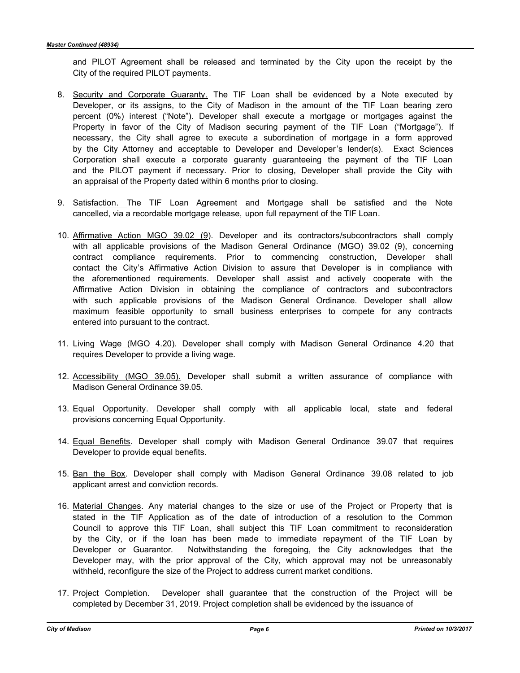and PILOT Agreement shall be released and terminated by the City upon the receipt by the City of the required PILOT payments.

- 8. Security and Corporate Guaranty. The TIF Loan shall be evidenced by a Note executed by Developer, or its assigns, to the City of Madison in the amount of the TIF Loan bearing zero percent (0%) interest ("Note"). Developer shall execute a mortgage or mortgages against the Property in favor of the City of Madison securing payment of the TIF Loan ("Mortgage"). If necessary, the City shall agree to execute a subordination of mortgage in a form approved by the City Attorney and acceptable to Developer and Developer's lender(s). Exact Sciences Corporation shall execute a corporate guaranty guaranteeing the payment of the TIF Loan and the PILOT payment if necessary. Prior to closing, Developer shall provide the City with an appraisal of the Property dated within 6 months prior to closing.
- 9. Satisfaction. The TIF Loan Agreement and Mortgage shall be satisfied and the Note cancelled, via a recordable mortgage release, upon full repayment of the TIF Loan.
- 10. Affirmative Action MGO 39.02 (9). Developer and its contractors/subcontractors shall comply with all applicable provisions of the Madison General Ordinance (MGO) 39.02 (9), concerning contract compliance requirements. Prior to commencing construction, Developer shall contact the City's Affirmative Action Division to assure that Developer is in compliance with the aforementioned requirements. Developer shall assist and actively cooperate with the Affirmative Action Division in obtaining the compliance of contractors and subcontractors with such applicable provisions of the Madison General Ordinance. Developer shall allow maximum feasible opportunity to small business enterprises to compete for any contracts entered into pursuant to the contract.
- 11. Living Wage (MGO 4.20). Developer shall comply with Madison General Ordinance 4.20 that requires Developer to provide a living wage.
- 12. Accessibility (MGO 39.05). Developer shall submit a written assurance of compliance with Madison General Ordinance 39.05.
- 13. Equal Opportunity. Developer shall comply with all applicable local, state and federal provisions concerning Equal Opportunity.
- 14. Equal Benefits. Developer shall comply with Madison General Ordinance 39.07 that requires Developer to provide equal benefits.
- 15. Ban the Box. Developer shall comply with Madison General Ordinance 39.08 related to job applicant arrest and conviction records.
- 16. Material Changes. Any material changes to the size or use of the Project or Property that is stated in the TIF Application as of the date of introduction of a resolution to the Common Council to approve this TIF Loan, shall subject this TIF Loan commitment to reconsideration by the City, or if the loan has been made to immediate repayment of the TIF Loan by Developer or Guarantor. Notwithstanding the foregoing, the City acknowledges that the Developer may, with the prior approval of the City, which approval may not be unreasonably withheld, reconfigure the size of the Project to address current market conditions.
- 17. Project Completion. Developer shall guarantee that the construction of the Project will be completed by December 31, 2019. Project completion shall be evidenced by the issuance of